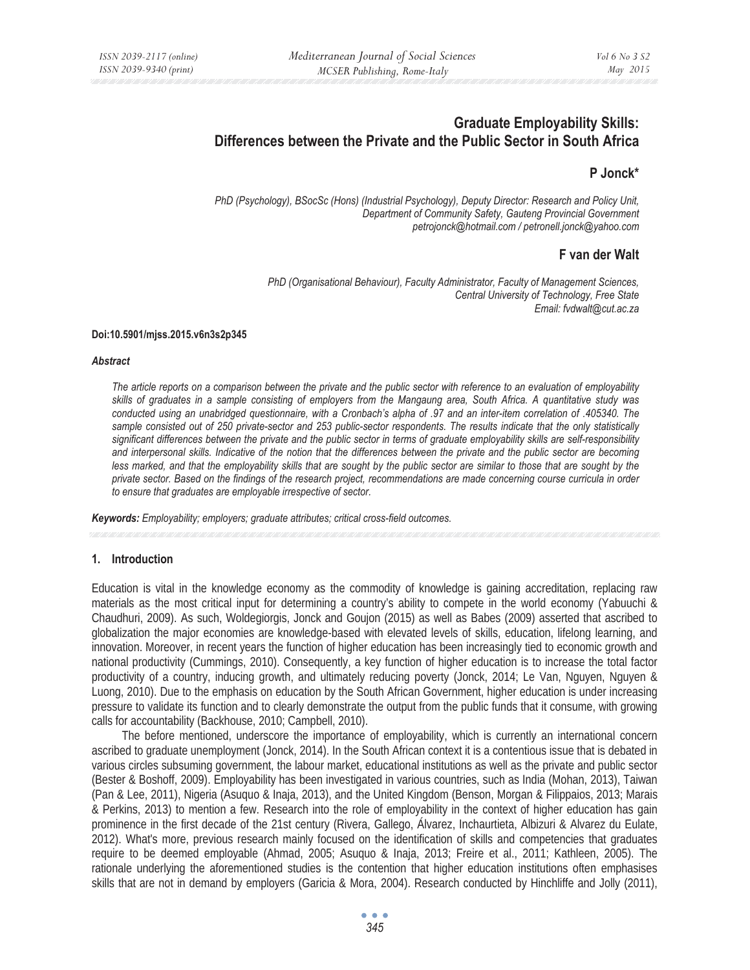# **Graduate Employability Skills: Differences between the Private and the Public Sector in South Africa**

### **P Jonck\***

*PhD (Psychology), BSocSc (Hons) (Industrial Psychology), Deputy Director: Research and Policy Unit, Department of Community Safety, Gauteng Provincial Government petrojonck@hotmail.com / petronell.jonck@yahoo.com* 

## **F van der Walt**

*PhD (Organisational Behaviour), Faculty Administrator, Faculty of Management Sciences, Central University of Technology, Free State Email: fvdwalt@cut.ac.za* 

#### **Doi:10.5901/mjss.2015.v6n3s2p345**

#### *Abstract*

*The article reports on a comparison between the private and the public sector with reference to an evaluation of employability skills of graduates in a sample consisting of employers from the Mangaung area, South Africa. A quantitative study was conducted using an unabridged questionnaire, with a Cronbach's alpha of .97 and an inter-item correlation of .405340. The*  sample consisted out of 250 private-sector and 253 public-sector respondents. The results indicate that the only statistically significant differences between the private and the public sector in terms of graduate employability skills are self-responsibility *and interpersonal skills. Indicative of the notion that the differences between the private and the public sector are becoming less marked, and that the employability skills that are sought by the public sector are similar to those that are sought by the private sector. Based on the findings of the research project, recommendations are made concerning course curricula in order to ensure that graduates are employable irrespective of sector.* 

*Keywords: Employability; employers; graduate attributes; critical cross-field outcomes.*

#### **1. Introduction**

Education is vital in the knowledge economy as the commodity of knowledge is gaining accreditation, replacing raw materials as the most critical input for determining a country's ability to compete in the world economy (Yabuuchi & Chaudhuri, 2009). As such, Woldegiorgis, Jonck and Goujon (2015) as well as Babes (2009) asserted that ascribed to globalization the major economies are knowledge-based with elevated levels of skills, education, lifelong learning, and innovation. Moreover, in recent years the function of higher education has been increasingly tied to economic growth and national productivity (Cummings, 2010). Consequently, a key function of higher education is to increase the total factor productivity of a country, inducing growth, and ultimately reducing poverty (Jonck, 2014; Le Van, Nguyen, Nguyen & Luong, 2010). Due to the emphasis on education by the South African Government, higher education is under increasing pressure to validate its function and to clearly demonstrate the output from the public funds that it consume, with growing calls for accountability (Backhouse, 2010; Campbell, 2010).

The before mentioned, underscore the importance of employability, which is currently an international concern ascribed to graduate unemployment (Jonck, 2014). In the South African context it is a contentious issue that is debated in various circles subsuming government, the labour market, educational institutions as well as the private and public sector (Bester & Boshoff, 2009). Employability has been investigated in various countries, such as India (Mohan, 2013), Taiwan (Pan & Lee, 2011), Nigeria (Asuquo & Inaja, 2013), and the United Kingdom (Benson, Morgan & Filippaios, 2013; Marais & Perkins, 2013) to mention a few. Research into the role of employability in the context of higher education has gain prominence in the first decade of the 21st century (Rivera, Gallego, Álvarez, Inchaurtieta, Albizuri & Alvarez du Eulate, 2012). What's more, previous research mainly focused on the identification of skills and competencies that graduates require to be deemed employable (Ahmad, 2005; Asuquo & Inaja, 2013; Freire et al., 2011; Kathleen, 2005). The rationale underlying the aforementioned studies is the contention that higher education institutions often emphasises skills that are not in demand by employers (Garicia & Mora, 2004). Research conducted by Hinchliffe and Jolly (2011),

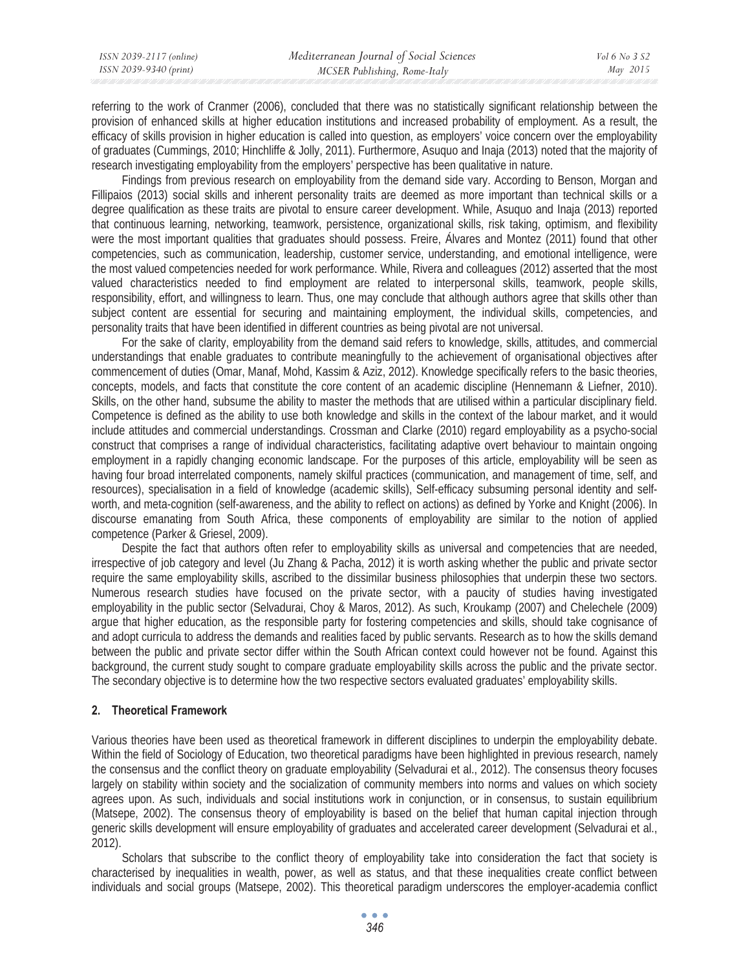referring to the work of Cranmer (2006), concluded that there was no statistically significant relationship between the provision of enhanced skills at higher education institutions and increased probability of employment. As a result, the efficacy of skills provision in higher education is called into question, as employers' voice concern over the employability of graduates (Cummings, 2010; Hinchliffe & Jolly, 2011). Furthermore, Asuquo and Inaja (2013) noted that the majority of research investigating employability from the employers' perspective has been qualitative in nature.

Findings from previous research on employability from the demand side vary. According to Benson, Morgan and Fillipaios (2013) social skills and inherent personality traits are deemed as more important than technical skills or a degree qualification as these traits are pivotal to ensure career development. While, Asuquo and Inaja (2013) reported that continuous learning, networking, teamwork, persistence, organizational skills, risk taking, optimism, and flexibility were the most important qualities that graduates should possess. Freire, Álvares and Montez (2011) found that other competencies, such as communication, leadership, customer service, understanding, and emotional intelligence, were the most valued competencies needed for work performance. While, Rivera and colleagues (2012) asserted that the most valued characteristics needed to find employment are related to interpersonal skills, teamwork, people skills, responsibility, effort, and willingness to learn. Thus, one may conclude that although authors agree that skills other than subject content are essential for securing and maintaining employment, the individual skills, competencies, and personality traits that have been identified in different countries as being pivotal are not universal.

For the sake of clarity, employability from the demand said refers to knowledge, skills, attitudes, and commercial understandings that enable graduates to contribute meaningfully to the achievement of organisational objectives after commencement of duties (Omar, Manaf, Mohd, Kassim & Aziz, 2012). Knowledge specifically refers to the basic theories, concepts, models, and facts that constitute the core content of an academic discipline (Hennemann & Liefner, 2010). Skills, on the other hand, subsume the ability to master the methods that are utilised within a particular disciplinary field. Competence is defined as the ability to use both knowledge and skills in the context of the labour market, and it would include attitudes and commercial understandings. Crossman and Clarke (2010) regard employability as a psycho-social construct that comprises a range of individual characteristics, facilitating adaptive overt behaviour to maintain ongoing employment in a rapidly changing economic landscape. For the purposes of this article, employability will be seen as having four broad interrelated components, namely skilful practices (communication, and management of time, self, and resources), specialisation in a field of knowledge (academic skills), Self-efficacy subsuming personal identity and selfworth, and meta-cognition (self-awareness, and the ability to reflect on actions) as defined by Yorke and Knight (2006). In discourse emanating from South Africa, these components of employability are similar to the notion of applied competence (Parker & Griesel, 2009).

Despite the fact that authors often refer to employability skills as universal and competencies that are needed, irrespective of job category and level (Ju Zhang & Pacha, 2012) it is worth asking whether the public and private sector require the same employability skills, ascribed to the dissimilar business philosophies that underpin these two sectors. Numerous research studies have focused on the private sector, with a paucity of studies having investigated employability in the public sector (Selvadurai, Choy & Maros, 2012). As such, Kroukamp (2007) and Chelechele (2009) argue that higher education, as the responsible party for fostering competencies and skills, should take cognisance of and adopt curricula to address the demands and realities faced by public servants. Research as to how the skills demand between the public and private sector differ within the South African context could however not be found. Against this background, the current study sought to compare graduate employability skills across the public and the private sector. The secondary objective is to determine how the two respective sectors evaluated graduates' employability skills.

## **2. Theoretical Framework**

Various theories have been used as theoretical framework in different disciplines to underpin the employability debate. Within the field of Sociology of Education, two theoretical paradigms have been highlighted in previous research, namely the consensus and the conflict theory on graduate employability (Selvadurai et al., 2012). The consensus theory focuses largely on stability within society and the socialization of community members into norms and values on which society agrees upon. As such, individuals and social institutions work in conjunction, or in consensus, to sustain equilibrium (Matsepe, 2002). The consensus theory of employability is based on the belief that human capital injection through generic skills development will ensure employability of graduates and accelerated career development (Selvadurai et al., 2012).

Scholars that subscribe to the conflict theory of employability take into consideration the fact that society is characterised by inequalities in wealth, power, as well as status, and that these inequalities create conflict between individuals and social groups (Matsepe, 2002). This theoretical paradigm underscores the employer-academia conflict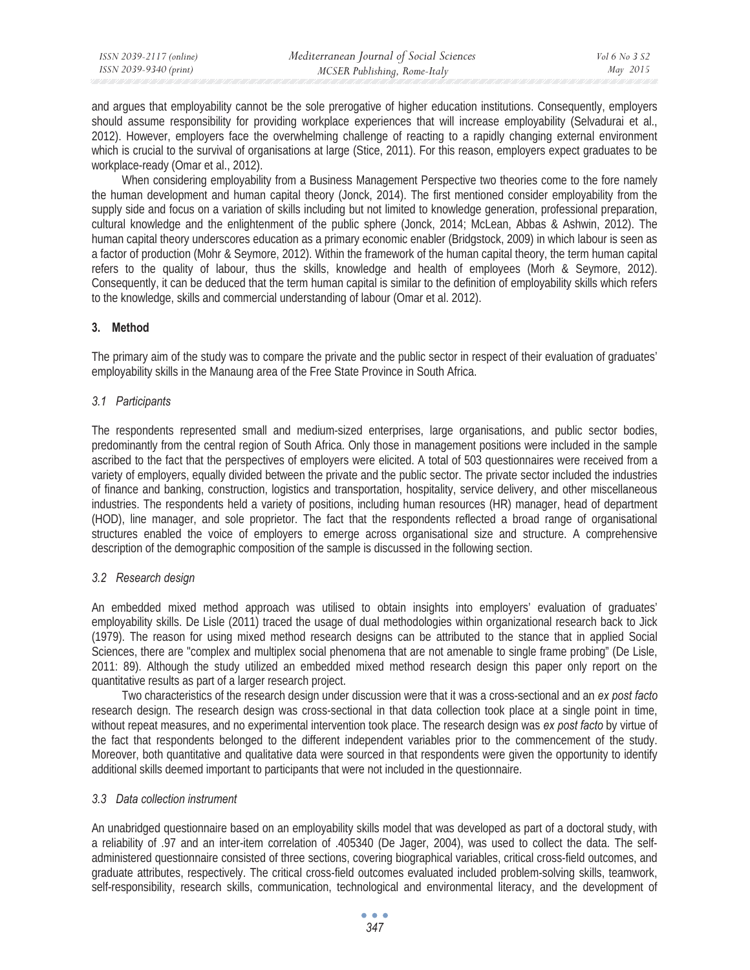| ISSN 2039-2117 (online) | Mediterranean Journal of Social Sciences | Vol 6 No 3 S2 |
|-------------------------|------------------------------------------|---------------|
| ISSN 2039-9340 (print)  | MCSER Publishing, Rome-Italy             | May 2015      |

and argues that employability cannot be the sole prerogative of higher education institutions. Consequently, employers should assume responsibility for providing workplace experiences that will increase employability (Selvadurai et al., 2012). However, employers face the overwhelming challenge of reacting to a rapidly changing external environment which is crucial to the survival of organisations at large (Stice, 2011). For this reason, employers expect graduates to be workplace-ready (Omar et al., 2012).

When considering employability from a Business Management Perspective two theories come to the fore namely the human development and human capital theory (Jonck, 2014). The first mentioned consider employability from the supply side and focus on a variation of skills including but not limited to knowledge generation, professional preparation, cultural knowledge and the enlightenment of the public sphere (Jonck, 2014; McLean, Abbas & Ashwin, 2012). The human capital theory underscores education as a primary economic enabler (Bridgstock, 2009) in which labour is seen as a factor of production (Mohr & Seymore, 2012). Within the framework of the human capital theory, the term human capital refers to the quality of labour, thus the skills, knowledge and health of employees (Morh & Seymore, 2012). Consequently, it can be deduced that the term human capital is similar to the definition of employability skills which refers to the knowledge, skills and commercial understanding of labour (Omar et al. 2012).

### **3. Method**

The primary aim of the study was to compare the private and the public sector in respect of their evaluation of graduates' employability skills in the Manaung area of the Free State Province in South Africa.

#### *3.1 Participants*

The respondents represented small and medium-sized enterprises, large organisations, and public sector bodies, predominantly from the central region of South Africa. Only those in management positions were included in the sample ascribed to the fact that the perspectives of employers were elicited. A total of 503 questionnaires were received from a variety of employers, equally divided between the private and the public sector. The private sector included the industries of finance and banking, construction, logistics and transportation, hospitality, service delivery, and other miscellaneous industries. The respondents held a variety of positions, including human resources (HR) manager, head of department (HOD), line manager, and sole proprietor. The fact that the respondents reflected a broad range of organisational structures enabled the voice of employers to emerge across organisational size and structure. A comprehensive description of the demographic composition of the sample is discussed in the following section.

#### *3.2 Research design*

An embedded mixed method approach was utilised to obtain insights into employers' evaluation of graduates' employability skills. De Lisle (2011) traced the usage of dual methodologies within organizational research back to Jick (1979). The reason for using mixed method research designs can be attributed to the stance that in applied Social Sciences, there are "complex and multiplex social phenomena that are not amenable to single frame probing" (De Lisle, 2011: 89). Although the study utilized an embedded mixed method research design this paper only report on the quantitative results as part of a larger research project.

Two characteristics of the research design under discussion were that it was a cross-sectional and an *ex post facto*  research design. The research design was cross-sectional in that data collection took place at a single point in time, without repeat measures, and no experimental intervention took place. The research design was *ex post facto* by virtue of the fact that respondents belonged to the different independent variables prior to the commencement of the study. Moreover, both quantitative and qualitative data were sourced in that respondents were given the opportunity to identify additional skills deemed important to participants that were not included in the questionnaire.

#### *3.3 Data collection instrument*

An unabridged questionnaire based on an employability skills model that was developed as part of a doctoral study, with a reliability of .97 and an inter-item correlation of .405340 (De Jager, 2004), was used to collect the data. The selfadministered questionnaire consisted of three sections, covering biographical variables, critical cross-field outcomes, and graduate attributes, respectively. The critical cross-field outcomes evaluated included problem-solving skills, teamwork, self-responsibility, research skills, communication, technological and environmental literacy, and the development of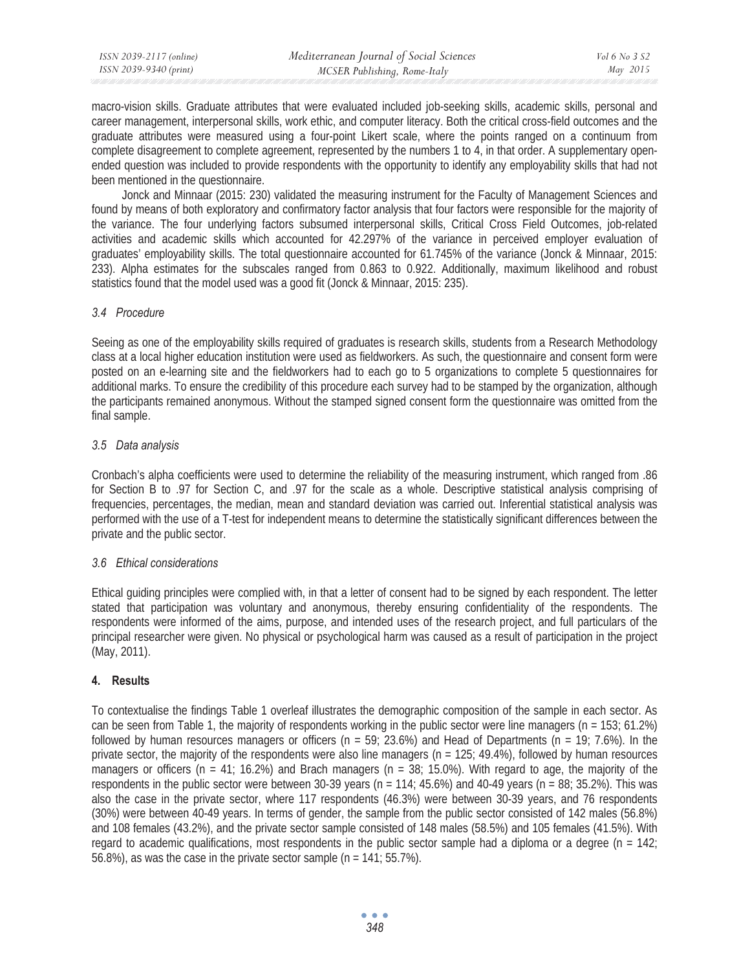| ISSN 2039-2117 (online) | Mediterranean Journal of Social Sciences | Vol 6 No 3 S2 |
|-------------------------|------------------------------------------|---------------|
| ISSN 2039-9340 (print)  | MCSER Publishing, Rome-Italy             | May 2015      |

macro-vision skills. Graduate attributes that were evaluated included job-seeking skills, academic skills, personal and career management, interpersonal skills, work ethic, and computer literacy. Both the critical cross-field outcomes and the graduate attributes were measured using a four-point Likert scale, where the points ranged on a continuum from complete disagreement to complete agreement, represented by the numbers 1 to 4, in that order. A supplementary openended question was included to provide respondents with the opportunity to identify any employability skills that had not been mentioned in the questionnaire.

Jonck and Minnaar (2015: 230) validated the measuring instrument for the Faculty of Management Sciences and found by means of both exploratory and confirmatory factor analysis that four factors were responsible for the majority of the variance. The four underlying factors subsumed interpersonal skills, Critical Cross Field Outcomes, job-related activities and academic skills which accounted for 42.297% of the variance in perceived employer evaluation of graduates' employability skills. The total questionnaire accounted for 61.745% of the variance (Jonck & Minnaar, 2015: 233). Alpha estimates for the subscales ranged from 0.863 to 0.922. Additionally, maximum likelihood and robust statistics found that the model used was a good fit (Jonck & Minnaar, 2015: 235).

#### *3.4 Procedure*

Seeing as one of the employability skills required of graduates is research skills, students from a Research Methodology class at a local higher education institution were used as fieldworkers. As such, the questionnaire and consent form were posted on an e-learning site and the fieldworkers had to each go to 5 organizations to complete 5 questionnaires for additional marks. To ensure the credibility of this procedure each survey had to be stamped by the organization, although the participants remained anonymous. Without the stamped signed consent form the questionnaire was omitted from the final sample.

### *3.5 Data analysis*

Cronbach's alpha coefficients were used to determine the reliability of the measuring instrument, which ranged from .86 for Section B to .97 for Section C, and .97 for the scale as a whole. Descriptive statistical analysis comprising of frequencies, percentages, the median, mean and standard deviation was carried out. Inferential statistical analysis was performed with the use of a T-test for independent means to determine the statistically significant differences between the private and the public sector.

## *3.6 Ethical considerations*

Ethical guiding principles were complied with, in that a letter of consent had to be signed by each respondent. The letter stated that participation was voluntary and anonymous, thereby ensuring confidentiality of the respondents. The respondents were informed of the aims, purpose, and intended uses of the research project, and full particulars of the principal researcher were given. No physical or psychological harm was caused as a result of participation in the project (May, 2011).

## **4. Results**

To contextualise the findings Table 1 overleaf illustrates the demographic composition of the sample in each sector. As can be seen from Table 1, the majority of respondents working in the public sector were line managers (n = 153; 61.2%) followed by human resources managers or officers ( $n = 59$ ; 23.6%) and Head of Departments ( $n = 19$ ; 7.6%). In the private sector, the majority of the respondents were also line managers ( $n = 125$ ; 49.4%), followed by human resources managers or officers ( $n = 41$ ; 16.2%) and Brach managers ( $n = 38$ ; 15.0%). With regard to age, the majority of the respondents in the public sector were between 30-39 years ( $n = 114$ ; 45.6%) and 40-49 years ( $n = 88$ ; 35.2%). This was also the case in the private sector, where 117 respondents (46.3%) were between 30-39 years, and 76 respondents (30%) were between 40-49 years. In terms of gender, the sample from the public sector consisted of 142 males (56.8%) and 108 females (43.2%), and the private sector sample consisted of 148 males (58.5%) and 105 females (41.5%). With regard to academic qualifications, most respondents in the public sector sample had a diploma or a degree ( $n = 142$ ; 56.8%), as was the case in the private sector sample ( $n = 141$ ; 55.7%).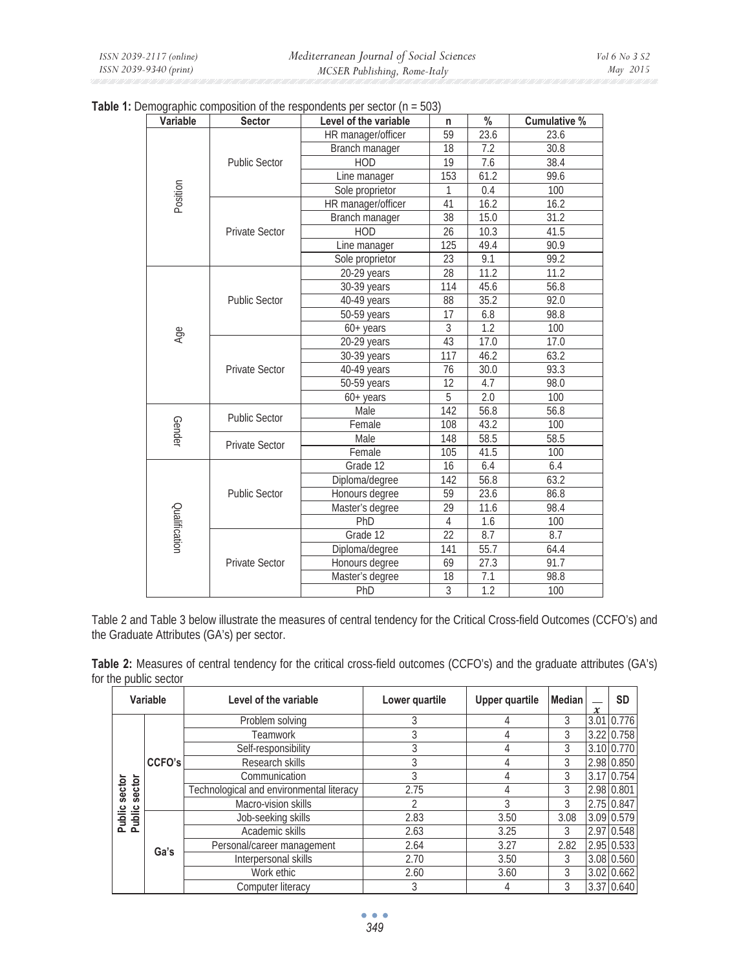| Variable      | Sector                | ornographic composition or the respondents per sector (ii)<br>Level of the variable | n               | $\frac{0}{6}$     | <b>Cumulative %</b> |
|---------------|-----------------------|-------------------------------------------------------------------------------------|-----------------|-------------------|---------------------|
|               |                       | HR manager/officer                                                                  | $\overline{59}$ | 23.6              | 23.6                |
|               |                       | Branch manager                                                                      | $\overline{18}$ | 7.2               | 30.8                |
|               | <b>Public Sector</b>  | HOD                                                                                 | 19              | 7.6               | 38.4                |
|               |                       | Line manager                                                                        | 153             | 61.2              | 99.6                |
| Position      |                       | Sole proprietor                                                                     | $\mathbf{1}$    | 0.4               | 100                 |
|               |                       | HR manager/officer                                                                  | 41              | 16.2              | 16.2                |
|               |                       | Branch manager                                                                      | $\overline{38}$ | 15.0              | 31.2                |
|               | <b>Private Sector</b> | <b>HOD</b>                                                                          | 26              | 10.3              | 41.5                |
|               |                       | Line manager                                                                        | 125             | 49.4              | 90.9                |
|               |                       | Sole proprietor                                                                     | 23              | 9.1               | 99.2                |
|               |                       | 20-29 years                                                                         | 28              | 11.2              | 11.2                |
|               |                       | 30-39 years                                                                         | 114             | 45.6              | 56.8                |
|               | <b>Public Sector</b>  | 40-49 years                                                                         | 88              | 35.2              | 92.0                |
|               |                       | 50-59 years                                                                         | 17              | 6.8               | 98.8                |
|               |                       | $60+years$                                                                          | $\overline{3}$  | $\overline{1.2}$  | 100                 |
| Age           | <b>Private Sector</b> | 20-29 years                                                                         | $\overline{43}$ | 17.0              | 17.0                |
|               |                       | 30-39 years                                                                         | 117             | 46.2              | 63.2                |
|               |                       | $40-49$ years                                                                       | $\overline{76}$ | 30.0              | 93.3                |
|               |                       | 50-59 years                                                                         | $\overline{12}$ | 4.7               | 98.0                |
|               |                       | $60+years$                                                                          | $\overline{5}$  | $\overline{2.0}$  | 100                 |
|               |                       | Male                                                                                | 142             | $\overline{56.8}$ | 56.8                |
| <b>Gender</b> | <b>Public Sector</b>  | Female                                                                              | 108             | 43.2              | 100                 |
|               | <b>Private Sector</b> | Male                                                                                | 148             | 58.5              | 58.5                |
|               |                       | Female                                                                              | 105             | 41.5              | 100                 |
|               |                       | Grade 12                                                                            | 16              | 6.4               | 6.4                 |
|               |                       | Diploma/degree                                                                      | 142             | 56.8              | 63.2                |
|               | <b>Public Sector</b>  | Honours degree                                                                      | 59              | 23.6              | 86.8                |
|               |                       | Master's degree                                                                     | $\overline{29}$ | 11.6              | 98.4                |
|               |                       | PhD                                                                                 | $\overline{4}$  | 1.6               | 100                 |
| Qualification |                       | Grade 12                                                                            | $\overline{22}$ | 8.7               | 8.7                 |
|               |                       | Diploma/degree                                                                      | 141             | 55.7              | 64.4                |
|               | <b>Private Sector</b> | Honours degree                                                                      | 69              | 27.3              | 91.7                |
|               |                       | Master's degree                                                                     | 18              | 7.1               | 98.8                |
|               |                       | PhD                                                                                 | $\overline{3}$  | 1.2               | 100                 |

**Table 1:** Demographic composition of the respondents per sector (n = 503)

Table 2 and Table 3 below illustrate the measures of central tendency for the Critical Cross-field Outcomes (CCFO's) and the Graduate Attributes (GA's) per sector.

|                       | Table 2: Measures of central tendency for the critical cross-field outcomes (CCFO's) and the graduate attributes (GA's) |  |  |  |  |
|-----------------------|-------------------------------------------------------------------------------------------------------------------------|--|--|--|--|
| for the public sector |                                                                                                                         |  |  |  |  |

| Variable         |        | Level of the variable                    | Lower quartile | Upper quartile | Median | <b>SD</b>    |
|------------------|--------|------------------------------------------|----------------|----------------|--------|--------------|
|                  |        | Problem solving                          |                | 4              | 3      | 3.01 0.776   |
|                  |        | Teamwork                                 |                | 4              | 3      | 3.22 0.758   |
|                  |        | Self-responsibility                      |                | 4              | 3      | 3.10 0.770   |
|                  | CCFO's | Research skills                          |                | 4              | 3      | 2.98 0.850   |
|                  |        | Communication                            |                | 4              | 3      | 3.17 0.754   |
| sector<br>sector |        | Technological and environmental literacy | 2.75           | 4              | 3      | 2.98 0.801   |
|                  |        | Macro-vision skills                      |                | 3              | 3      | 2.75 0.847   |
| Public<br>Public |        | Job-seeking skills                       | 2.83           | 3.50           | 3.08   | 3.09 0.579   |
|                  |        | Academic skills                          | 2.63           | 3.25           | 3      | 2.97 0.548   |
|                  | Ga's   | Personal/career management               | 2.64           | 3.27           | 2.82   | 2.95 0.533   |
|                  |        | Interpersonal skills                     | 2.70           | 3.50           | 3      | 3.08 0.560   |
|                  |        | Work ethic                               | 2.60           | 3.60           | 3      | $3.02$ 0.662 |
|                  |        | Computer literacy                        | 3              | 4              | 3      | 3.37 0.640   |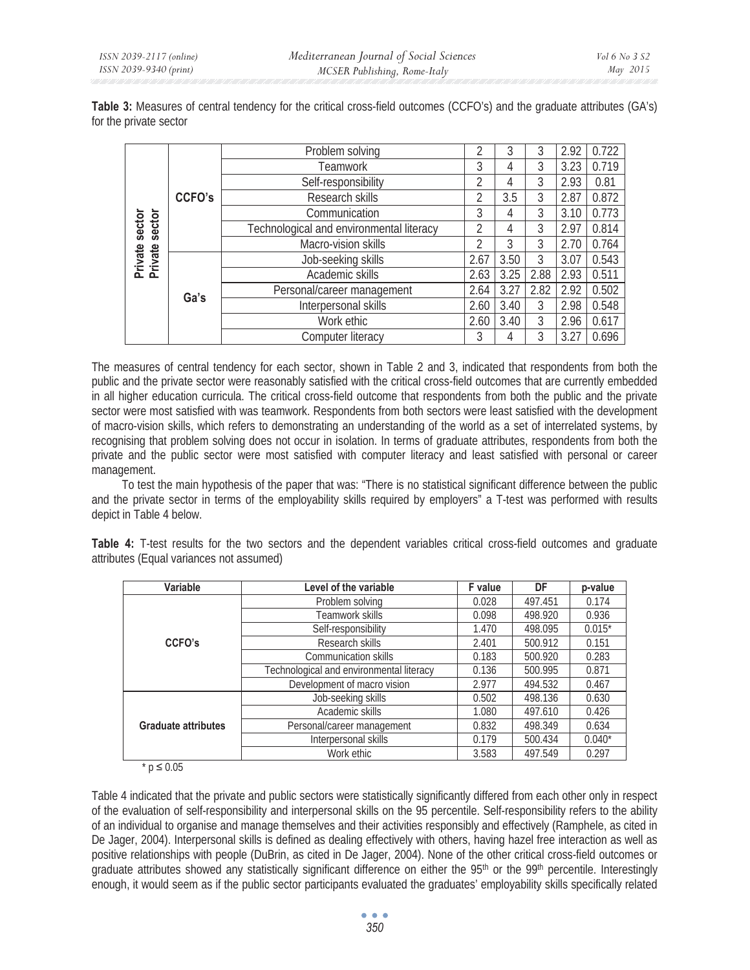**Table 3:** Measures of central tendency for the critical cross-field outcomes (CCFO's) and the graduate attributes (GA's) for the private sector

|                    |        | Problem solving                          | 2              | 3            | 3    | 2.92 | 0.722 |
|--------------------|--------|------------------------------------------|----------------|--------------|------|------|-------|
|                    |        | Teamwork                                 | 3              | 4            | 3    | 3.23 | 0.719 |
|                    |        | Self-responsibility                      | $\mathfrak{D}$ | 4            | 3    | 2.93 | 0.81  |
|                    | CCFO's | Research skills                          | 2              | 3.5          | 3    | 2.87 | 0.872 |
|                    |        | Communication                            | 3              | 3<br>4       |      | 3.10 | 0.773 |
| sector<br>sector   |        | Technological and environmental literacy | $\mathfrak{D}$ | 4            | 3    | 2.97 | 0.814 |
|                    |        | Macro-vision skills                      | 2              | 3            | 3    | 2.70 | 0.764 |
| Private<br>Private |        | Job-seeking skills                       | 2.67           | 3.50         | 3    | 3.07 | 0.543 |
|                    |        | Academic skills                          | 2.63           | 3.25<br>2.88 |      | 2.93 | 0.511 |
|                    | Ga's   | Personal/career management               | 2.64           | 3.27         | 2.82 | 2.92 | 0.502 |
|                    |        | Interpersonal skills                     | 2.60           | 3.40         | 3    | 2.98 | 0.548 |
|                    |        | Work ethic                               | 2.60           | 3.40         | 3    | 2.96 | 0.617 |
|                    |        | Computer literacy                        | 3              | 4            | 3    | 3.27 | 0.696 |

The measures of central tendency for each sector, shown in Table 2 and 3, indicated that respondents from both the public and the private sector were reasonably satisfied with the critical cross-field outcomes that are currently embedded in all higher education curricula. The critical cross-field outcome that respondents from both the public and the private sector were most satisfied with was teamwork. Respondents from both sectors were least satisfied with the development of macro-vision skills, which refers to demonstrating an understanding of the world as a set of interrelated systems, by recognising that problem solving does not occur in isolation. In terms of graduate attributes, respondents from both the private and the public sector were most satisfied with computer literacy and least satisfied with personal or career management.

To test the main hypothesis of the paper that was: "There is no statistical significant difference between the public and the private sector in terms of the employability skills required by employers" a T-test was performed with results depict in Table 4 below.

| Variable                   | Level of the variable                    | F value | DF      | p-value  |
|----------------------------|------------------------------------------|---------|---------|----------|
|                            | Problem solving                          | 0.028   | 497.451 | 0.174    |
|                            | Teamwork skills                          | 0.098   | 498.920 | 0.936    |
|                            | Self-responsibility                      | 1.470   | 498.095 | $0.015*$ |
| CCFO's                     | Research skills                          | 2.401   | 500.912 | 0.151    |
|                            | <b>Communication skills</b>              | 0.183   | 500.920 | 0.283    |
|                            | Technological and environmental literacy | 0.136   | 500.995 | 0.871    |
|                            | Development of macro vision              | 2.977   | 494.532 | 0.467    |
|                            | Job-seeking skills                       | 0.502   | 498.136 | 0.630    |
|                            | Academic skills                          | 1.080   | 497.610 | 0.426    |
| <b>Graduate attributes</b> | Personal/career management               | 0.832   | 498.349 | 0.634    |
|                            | Interpersonal skills                     | 0.179   | 500.434 | $0.040*$ |
|                            | Work ethic                               | 3.583   | 497.549 | 0.297    |

**Table 4:** T-test results for the two sectors and the dependent variables critical cross-field outcomes and graduate attributes (Equal variances not assumed)

 $^{\star}$  p  $\leq 0.05$ 

Table 4 indicated that the private and public sectors were statistically significantly differed from each other only in respect of the evaluation of self-responsibility and interpersonal skills on the 95 percentile. Self-responsibility refers to the ability of an individual to organise and manage themselves and their activities responsibly and effectively (Ramphele, as cited in De Jager, 2004). Interpersonal skills is defined as dealing effectively with others, having hazel free interaction as well as positive relationships with people (DuBrin, as cited in De Jager, 2004). None of the other critical cross-field outcomes or graduate attributes showed any statistically significant difference on either the 95<sup>th</sup> or the 99<sup>th</sup> percentile. Interestingly enough, it would seem as if the public sector participants evaluated the graduates' employability skills specifically related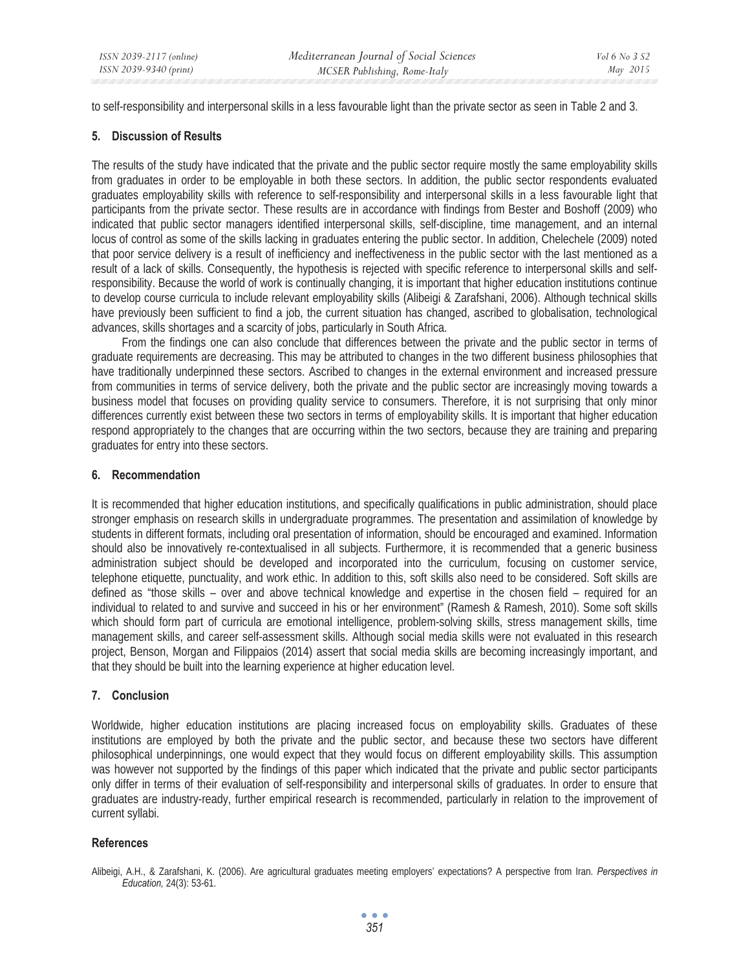to self-responsibility and interpersonal skills in a less favourable light than the private sector as seen in Table 2 and 3.

#### **5. Discussion of Results**

The results of the study have indicated that the private and the public sector require mostly the same employability skills from graduates in order to be employable in both these sectors. In addition, the public sector respondents evaluated graduates employability skills with reference to self-responsibility and interpersonal skills in a less favourable light that participants from the private sector. These results are in accordance with findings from Bester and Boshoff (2009) who indicated that public sector managers identified interpersonal skills, self-discipline, time management, and an internal locus of control as some of the skills lacking in graduates entering the public sector. In addition, Chelechele (2009) noted that poor service delivery is a result of inefficiency and ineffectiveness in the public sector with the last mentioned as a result of a lack of skills. Consequently, the hypothesis is rejected with specific reference to interpersonal skills and selfresponsibility. Because the world of work is continually changing, it is important that higher education institutions continue to develop course curricula to include relevant employability skills (Alibeigi & Zarafshani, 2006). Although technical skills have previously been sufficient to find a job, the current situation has changed, ascribed to globalisation, technological advances, skills shortages and a scarcity of jobs, particularly in South Africa.

From the findings one can also conclude that differences between the private and the public sector in terms of graduate requirements are decreasing. This may be attributed to changes in the two different business philosophies that have traditionally underpinned these sectors. Ascribed to changes in the external environment and increased pressure from communities in terms of service delivery, both the private and the public sector are increasingly moving towards a business model that focuses on providing quality service to consumers. Therefore, it is not surprising that only minor differences currently exist between these two sectors in terms of employability skills. It is important that higher education respond appropriately to the changes that are occurring within the two sectors, because they are training and preparing graduates for entry into these sectors.

#### **6. Recommendation**

It is recommended that higher education institutions, and specifically qualifications in public administration, should place stronger emphasis on research skills in undergraduate programmes. The presentation and assimilation of knowledge by students in different formats, including oral presentation of information, should be encouraged and examined. Information should also be innovatively re-contextualised in all subjects. Furthermore, it is recommended that a generic business administration subject should be developed and incorporated into the curriculum, focusing on customer service, telephone etiquette, punctuality, and work ethic. In addition to this, soft skills also need to be considered. Soft skills are defined as "those skills – over and above technical knowledge and expertise in the chosen field – required for an individual to related to and survive and succeed in his or her environment" (Ramesh & Ramesh, 2010). Some soft skills which should form part of curricula are emotional intelligence, problem-solving skills, stress management skills, time management skills, and career self-assessment skills. Although social media skills were not evaluated in this research project, Benson, Morgan and Filippaios (2014) assert that social media skills are becoming increasingly important, and that they should be built into the learning experience at higher education level.

#### **7. Conclusion**

Worldwide, higher education institutions are placing increased focus on employability skills. Graduates of these institutions are employed by both the private and the public sector, and because these two sectors have different philosophical underpinnings, one would expect that they would focus on different employability skills. This assumption was however not supported by the findings of this paper which indicated that the private and public sector participants only differ in terms of their evaluation of self-responsibility and interpersonal skills of graduates. In order to ensure that graduates are industry-ready, further empirical research is recommended, particularly in relation to the improvement of current syllabi.

#### **References**

Alibeigi, A.H., & Zarafshani, K. (2006). Are agricultural graduates meeting employers' expectations? A perspective from Iran. *Perspectives in Education,* 24(3): 53-61.